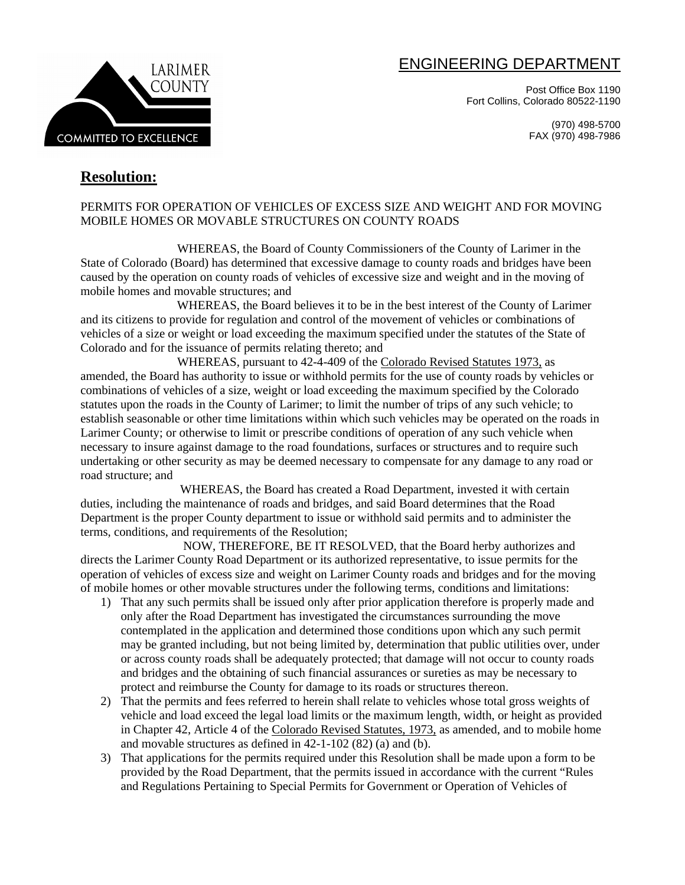# ENGINEERING DEPARTMENT

Post Office Box 1190 Fort Collins, Colorado 80522-1190

> (970) 498-5700 FAX (970) 498-7986



# **Resolution:**

## PERMITS FOR OPERATION OF VEHICLES OF EXCESS SIZE AND WEIGHT AND FOR MOVING MOBILE HOMES OR MOVABLE STRUCTURES ON COUNTY ROADS

WHEREAS, the Board of County Commissioners of the County of Larimer in the State of Colorado (Board) has determined that excessive damage to county roads and bridges have been caused by the operation on county roads of vehicles of excessive size and weight and in the moving of mobile homes and movable structures; and

WHEREAS, the Board believes it to be in the best interest of the County of Larimer and its citizens to provide for regulation and control of the movement of vehicles or combinations of vehicles of a size or weight or load exceeding the maximum specified under the statutes of the State of Colorado and for the issuance of permits relating thereto; and

WHEREAS, pursuant to 42-4-409 of the Colorado Revised Statutes 1973, as amended, the Board has authority to issue or withhold permits for the use of county roads by vehicles or combinations of vehicles of a size, weight or load exceeding the maximum specified by the Colorado statutes upon the roads in the County of Larimer; to limit the number of trips of any such vehicle; to establish seasonable or other time limitations within which such vehicles may be operated on the roads in Larimer County; or otherwise to limit or prescribe conditions of operation of any such vehicle when necessary to insure against damage to the road foundations, surfaces or structures and to require such undertaking or other security as may be deemed necessary to compensate for any damage to any road or road structure; and

 WHEREAS, the Board has created a Road Department, invested it with certain duties, including the maintenance of roads and bridges, and said Board determines that the Road Department is the proper County department to issue or withhold said permits and to administer the terms, conditions, and requirements of the Resolution;

 NOW, THEREFORE, BE IT RESOLVED, that the Board herby authorizes and directs the Larimer County Road Department or its authorized representative, to issue permits for the operation of vehicles of excess size and weight on Larimer County roads and bridges and for the moving of mobile homes or other movable structures under the following terms, conditions and limitations:

- 1) That any such permits shall be issued only after prior application therefore is properly made and only after the Road Department has investigated the circumstances surrounding the move contemplated in the application and determined those conditions upon which any such permit may be granted including, but not being limited by, determination that public utilities over, under or across county roads shall be adequately protected; that damage will not occur to county roads and bridges and the obtaining of such financial assurances or sureties as may be necessary to protect and reimburse the County for damage to its roads or structures thereon.
- 2) That the permits and fees referred to herein shall relate to vehicles whose total gross weights of vehicle and load exceed the legal load limits or the maximum length, width, or height as provided in Chapter 42, Article 4 of the Colorado Revised Statutes, 1973, as amended, and to mobile home and movable structures as defined in 42-1-102 (82) (a) and (b).
- 3) That applications for the permits required under this Resolution shall be made upon a form to be provided by the Road Department, that the permits issued in accordance with the current "Rules and Regulations Pertaining to Special Permits for Government or Operation of Vehicles of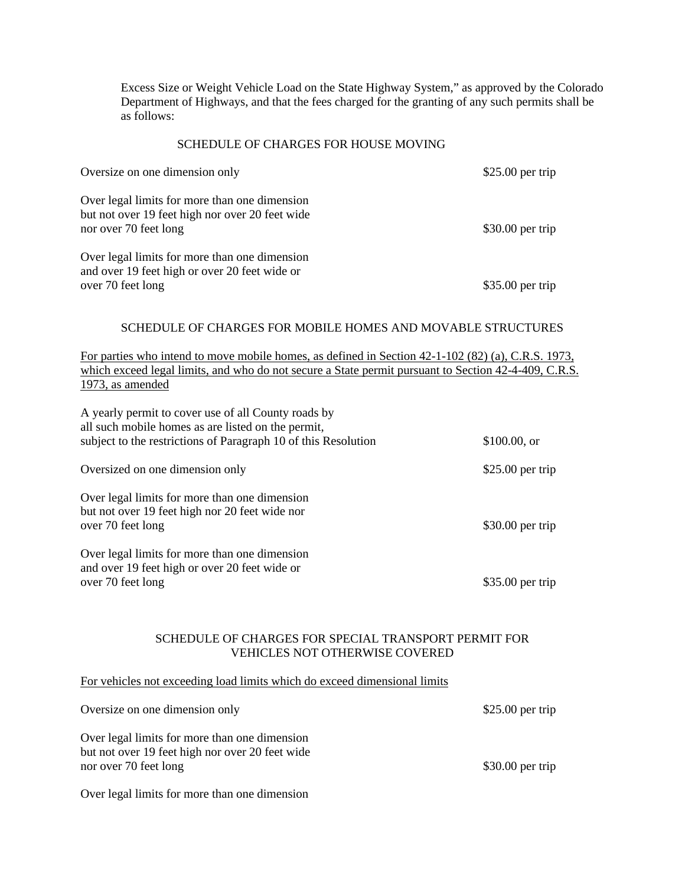Excess Size or Weight Vehicle Load on the State Highway System," as approved by the Colorado Department of Highways, and that the fees charged for the granting of any such permits shall be as follows:

### SCHEDULE OF CHARGES FOR HOUSE MOVING

| Oversize on one dimension only                                                                                            | $$25.00$ per trip |
|---------------------------------------------------------------------------------------------------------------------------|-------------------|
| Over legal limits for more than one dimension<br>but not over 19 feet high nor over 20 feet wide<br>nor over 70 feet long | $$30.00$ per trip |
| Over legal limits for more than one dimension<br>and over 19 feet high or over 20 feet wide or<br>over 70 feet long       | $$35.00$ per trip |

#### SCHEDULE OF CHARGES FOR MOBILE HOMES AND MOVABLE STRUCTURES

For parties who intend to move mobile homes, as defined in Section 42-1-102 (82) (a), C.R.S. 1973, which exceed legal limits, and who do not secure a State permit pursuant to Section 42-4-409, C.R.S. 1973, as amended

| A yearly permit to cover use of all County roads by<br>all such mobile homes as are listed on the permit,<br>subject to the restrictions of Paragraph 10 of this Resolution | \$100.00, or      |
|-----------------------------------------------------------------------------------------------------------------------------------------------------------------------------|-------------------|
| Oversized on one dimension only                                                                                                                                             | $$25.00$ per trip |
| Over legal limits for more than one dimension<br>but not over 19 feet high nor 20 feet wide nor<br>over 70 feet long                                                        | $$30.00$ per trip |
| Over legal limits for more than one dimension<br>and over 19 feet high or over 20 feet wide or<br>over 70 feet long                                                         | $$35.00$ per trip |

### SCHEDULE OF CHARGES FOR SPECIAL TRANSPORT PERMIT FOR VEHICLES NOT OTHERWISE COVERED

### For vehicles not exceeding load limits which do exceed dimensional limits

| Oversize on one dimension only                                                                                            | $$25.00$ per trip |
|---------------------------------------------------------------------------------------------------------------------------|-------------------|
| Over legal limits for more than one dimension<br>but not over 19 feet high nor over 20 feet wide<br>nor over 70 feet long | $$30.00$ per trip |
| Over legal limits for more than one dimension                                                                             |                   |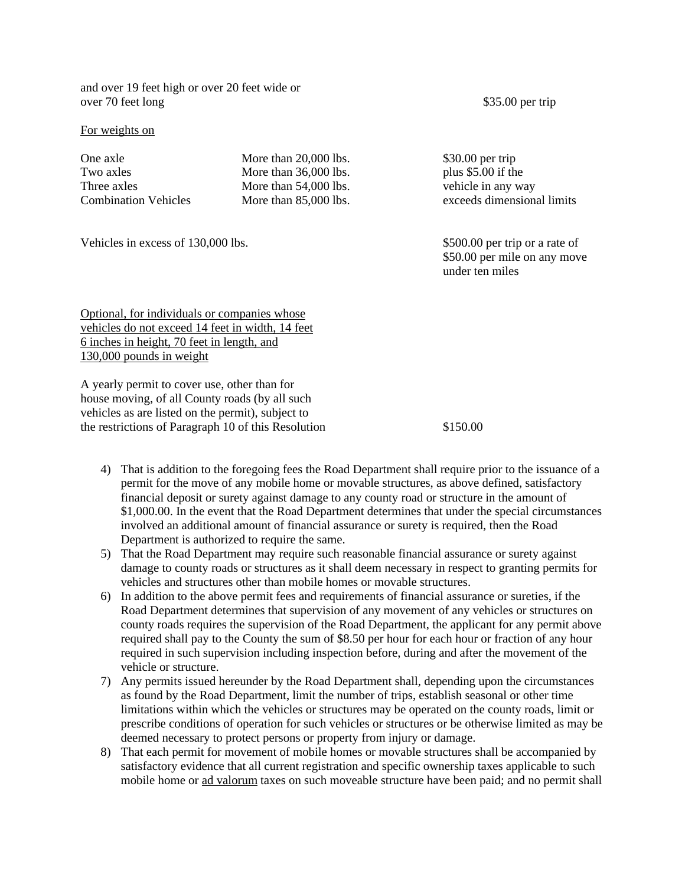and over 19 feet high or over 20 feet wide or over 70 feet long \$35.00 per trip

#### For weights on

One axle More than 20,000 lbs. \$30.00 per trip

Two axles More than 36,000 lbs. plus \$5.00 if the Three axles More than 54,000 lbs. vehicle in any way

Vehicles in excess of 130,000 lbs. \$500.00 per trip or a rate of

Combination Vehicles More than 85,000 lbs. exceeds dimensional limits

\$50.00 per mile on any move under ten miles

Optional, for individuals or companies whose vehicles do not exceed 14 feet in width, 14 feet 6 inches in height, 70 feet in length, and 130,000 pounds in weight

A yearly permit to cover use, other than for house moving, of all County roads (by all such vehicles as are listed on the permit), subject to the restrictions of Paragraph 10 of this Resolution \$150.00

- 4) That is addition to the foregoing fees the Road Department shall require prior to the issuance of a permit for the move of any mobile home or movable structures, as above defined, satisfactory financial deposit or surety against damage to any county road or structure in the amount of \$1,000.00. In the event that the Road Department determines that under the special circumstances involved an additional amount of financial assurance or surety is required, then the Road Department is authorized to require the same.
- 5) That the Road Department may require such reasonable financial assurance or surety against damage to county roads or structures as it shall deem necessary in respect to granting permits for vehicles and structures other than mobile homes or movable structures.
- 6) In addition to the above permit fees and requirements of financial assurance or sureties, if the Road Department determines that supervision of any movement of any vehicles or structures on county roads requires the supervision of the Road Department, the applicant for any permit above required shall pay to the County the sum of \$8.50 per hour for each hour or fraction of any hour required in such supervision including inspection before, during and after the movement of the vehicle or structure.
- 7) Any permits issued hereunder by the Road Department shall, depending upon the circumstances as found by the Road Department, limit the number of trips, establish seasonal or other time limitations within which the vehicles or structures may be operated on the county roads, limit or prescribe conditions of operation for such vehicles or structures or be otherwise limited as may be deemed necessary to protect persons or property from injury or damage.
- 8) That each permit for movement of mobile homes or movable structures shall be accompanied by satisfactory evidence that all current registration and specific ownership taxes applicable to such mobile home or ad valorum taxes on such moveable structure have been paid; and no permit shall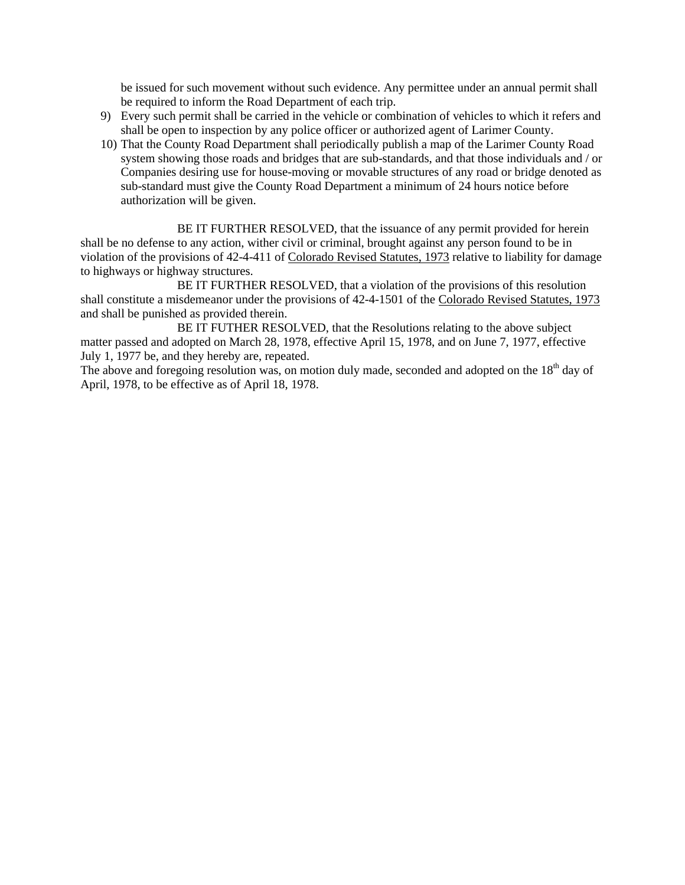be issued for such movement without such evidence. Any permittee under an annual permit shall be required to inform the Road Department of each trip.

- 9) Every such permit shall be carried in the vehicle or combination of vehicles to which it refers and shall be open to inspection by any police officer or authorized agent of Larimer County.
- 10) That the County Road Department shall periodically publish a map of the Larimer County Road system showing those roads and bridges that are sub-standards, and that those individuals and / or Companies desiring use for house-moving or movable structures of any road or bridge denoted as sub-standard must give the County Road Department a minimum of 24 hours notice before authorization will be given.

BE IT FURTHER RESOLVED, that the issuance of any permit provided for herein shall be no defense to any action, wither civil or criminal, brought against any person found to be in violation of the provisions of 42-4-411 of Colorado Revised Statutes, 1973 relative to liability for damage to highways or highway structures.

BE IT FURTHER RESOLVED, that a violation of the provisions of this resolution shall constitute a misdemeanor under the provisions of 42-4-1501 of the Colorado Revised Statutes, 1973 and shall be punished as provided therein.

BE IT FUTHER RESOLVED, that the Resolutions relating to the above subject matter passed and adopted on March 28, 1978, effective April 15, 1978, and on June 7, 1977, effective July 1, 1977 be, and they hereby are, repeated.

The above and foregoing resolution was, on motion duly made, seconded and adopted on the  $18<sup>th</sup>$  day of April, 1978, to be effective as of April 18, 1978.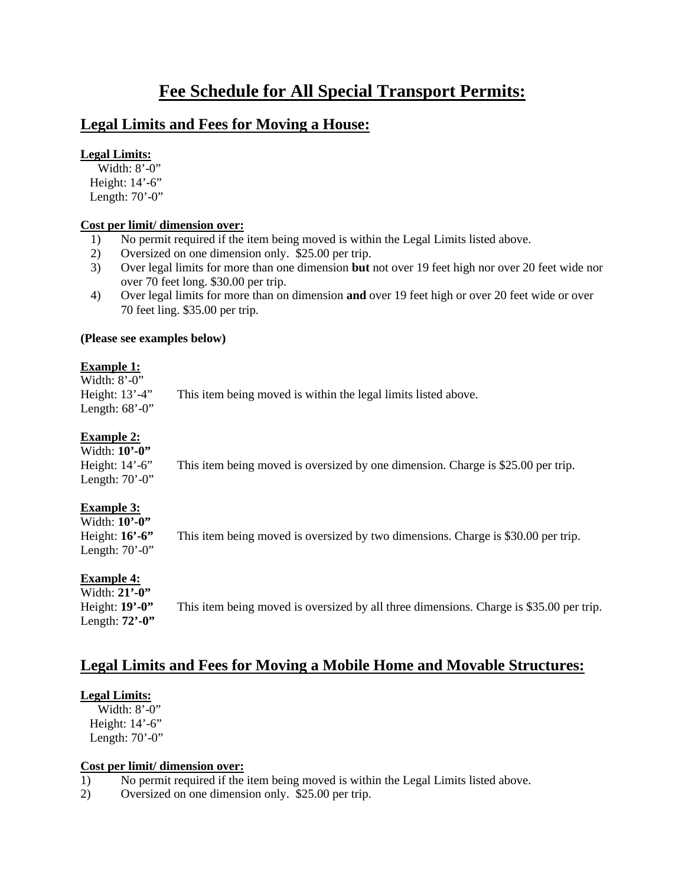# **Fee Schedule for All Special Transport Permits:**

# **Legal Limits and Fees for Moving a House:**

## **Legal Limits:**

Width: 8'-0" Height: 14'-6" Length: 70'-0"

## **Cost per limit/ dimension over:**

- 1) No permit required if the item being moved is within the Legal Limits listed above.
- 2) Oversized on one dimension only. \$25.00 per trip.
- 3) Over legal limits for more than one dimension **but** not over 19 feet high nor over 20 feet wide nor over 70 feet long. \$30.00 per trip.
- 4) Over legal limits for more than on dimension **and** over 19 feet high or over 20 feet wide or over 70 feet ling. \$35.00 per trip.

## **(Please see examples below)**

## **Example 1:**

| Width: 8'-0''       |                                                                |
|---------------------|----------------------------------------------------------------|
| Height: $13' - 4''$ | This item being moved is within the legal limits listed above. |
| Length: $68'$ -0"   |                                                                |

## **Example 2:**

| Width: $10^{\circ}$ -0"  |                                                                                  |
|--------------------------|----------------------------------------------------------------------------------|
| Height: $14^\circ$ -6"   | This item being moved is oversized by one dimension. Charge is \$25.00 per trip. |
| Length: $70^{\circ}$ -0" |                                                                                  |

# **Example 3:**

| Width: 10'-0"            |                                                                                   |
|--------------------------|-----------------------------------------------------------------------------------|
| Height: $16'$ -6"        | This item being moved is oversized by two dimensions. Charge is \$30.00 per trip. |
| Length: $70^{\circ}$ -0" |                                                                                   |

# **Example 4:**

Width: **21'-0"** Length: **72'-0"**

Height: **19'-0"** This item being moved is oversized by all three dimensions. Charge is \$35.00 per trip.

# **Legal Limits and Fees for Moving a Mobile Home and Movable Structures:**

## **Legal Limits:**

Width: 8'-0" Height: 14'-6" Length: 70'-0"

## **Cost per limit/ dimension over:**

- 1) No permit required if the item being moved is within the Legal Limits listed above.
- 2) Oversized on one dimension only. \$25.00 per trip.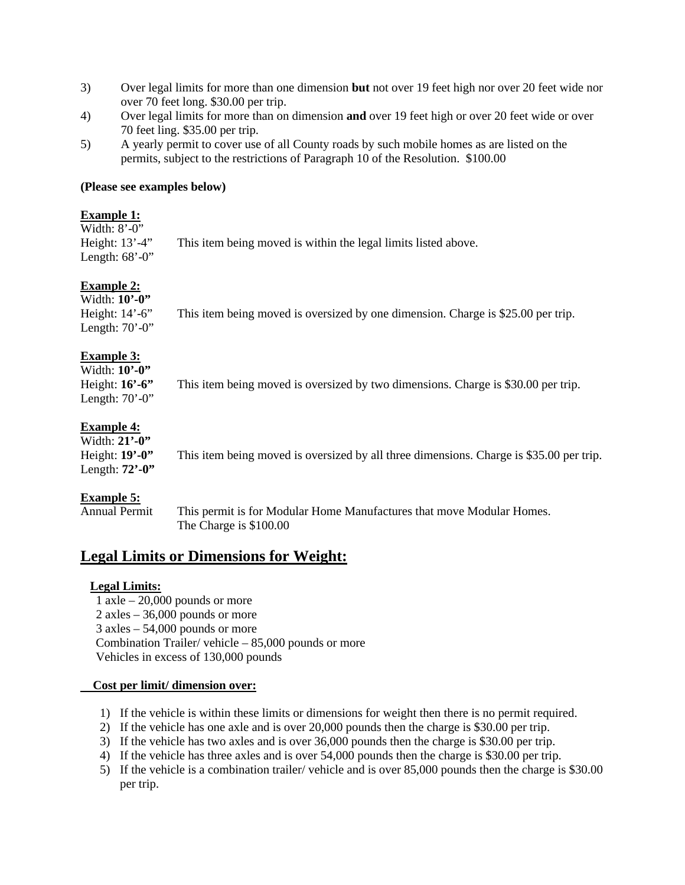- 3) Over legal limits for more than one dimension **but** not over 19 feet high nor over 20 feet wide nor over 70 feet long. \$30.00 per trip.
- 4) Over legal limits for more than on dimension **and** over 19 feet high or over 20 feet wide or over 70 feet ling. \$35.00 per trip.
- 5) A yearly permit to cover use of all County roads by such mobile homes as are listed on the permits, subject to the restrictions of Paragraph 10 of the Resolution. \$100.00

### **(Please see examples below)**

## **Example 1:**

| Width: $8^{\circ}$ -0" |                                                                |
|------------------------|----------------------------------------------------------------|
| Height: $13' - 4''$    | This item being moved is within the legal limits listed above. |
| Length: $68^\circ$ -0" |                                                                |

# **Example 2:**

| Width: $10^{\circ}$ -0"  |                                                                                  |
|--------------------------|----------------------------------------------------------------------------------|
| Height: $14' - 6''$      | This item being moved is oversized by one dimension. Charge is \$25.00 per trip. |
| Length: $70^{\circ}$ -0" |                                                                                  |

# **Example 3:**

Width: **10'-0"** Height: **16'-6"** This item being moved is oversized by two dimensions. Charge is \$30.00 per trip. Length:  $70'$ -0"

# **Example 4:**

| Width: 21'-0"                               |                                                                                         |
|---------------------------------------------|-----------------------------------------------------------------------------------------|
| Height: $19'$ -0"                           | This item being moved is oversized by all three dimensions. Charge is \$35.00 per trip. |
| Length: $72$ <sup>'</sup> -0 <sup>'</sup> ' |                                                                                         |

# **Example 5:**

Annual Permit This permit is for Modular Home Manufactures that move Modular Homes. The Charge is \$100.00

# **Legal Limits or Dimensions for Weight:**

# **Legal Limits:**

 $1$  axle  $-20,000$  pounds or more 2 axles – 36,000 pounds or more 3 axles – 54,000 pounds or more Combination Trailer/ vehicle – 85,000 pounds or more Vehicles in excess of 130,000 pounds

## **Cost per limit/ dimension over:**

- 1) If the vehicle is within these limits or dimensions for weight then there is no permit required.
- 2) If the vehicle has one axle and is over 20,000 pounds then the charge is \$30.00 per trip.
- 3) If the vehicle has two axles and is over 36,000 pounds then the charge is \$30.00 per trip.
- 4) If the vehicle has three axles and is over 54,000 pounds then the charge is \$30.00 per trip.
- 5) If the vehicle is a combination trailer/ vehicle and is over 85,000 pounds then the charge is \$30.00 per trip.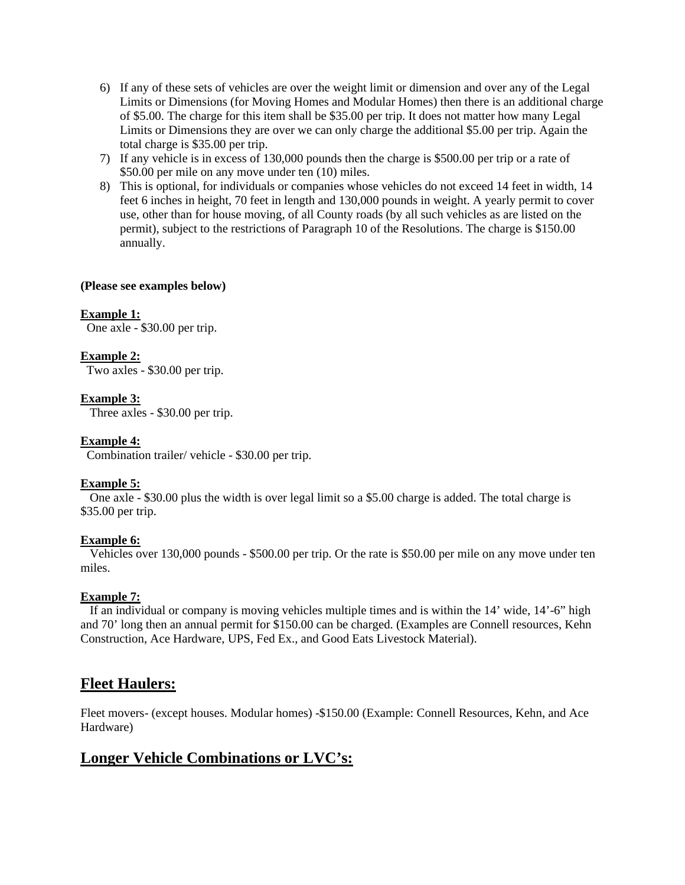- 6) If any of these sets of vehicles are over the weight limit or dimension and over any of the Legal Limits or Dimensions (for Moving Homes and Modular Homes) then there is an additional charge of \$5.00. The charge for this item shall be \$35.00 per trip. It does not matter how many Legal Limits or Dimensions they are over we can only charge the additional \$5.00 per trip. Again the total charge is \$35.00 per trip.
- 7) If any vehicle is in excess of 130,000 pounds then the charge is \$500.00 per trip or a rate of \$50.00 per mile on any move under ten (10) miles.
- 8) This is optional, for individuals or companies whose vehicles do not exceed 14 feet in width, 14 feet 6 inches in height, 70 feet in length and 130,000 pounds in weight. A yearly permit to cover use, other than for house moving, of all County roads (by all such vehicles as are listed on the permit), subject to the restrictions of Paragraph 10 of the Resolutions. The charge is \$150.00 annually.

#### **(Please see examples below)**

#### **Example 1:**

One axle - \$30.00 per trip.

### **Example 2:**

Two axles - \$30.00 per trip.

### **Example 3:**

Three axles - \$30.00 per trip.

### **Example 4:**

Combination trailer/ vehicle - \$30.00 per trip.

### **Example 5:**

 One axle - \$30.00 plus the width is over legal limit so a \$5.00 charge is added. The total charge is \$35.00 per trip.

### **Example 6:**

 Vehicles over 130,000 pounds - \$500.00 per trip. Or the rate is \$50.00 per mile on any move under ten miles.

### **Example 7:**

 If an individual or company is moving vehicles multiple times and is within the 14' wide, 14'-6" high and 70' long then an annual permit for \$150.00 can be charged. (Examples are Connell resources, Kehn Construction, Ace Hardware, UPS, Fed Ex., and Good Eats Livestock Material).

# **Fleet Haulers:**

Fleet movers- (except houses. Modular homes) -\$150.00 (Example: Connell Resources, Kehn, and Ace Hardware)

# **Longer Vehicle Combinations or LVC's:**